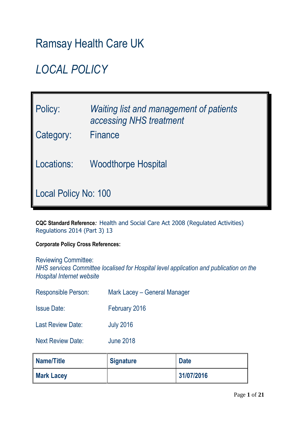# Ramsay Health Care UK

# *LOCAL POLICY*

| Policy:<br>Category:        | Waiting list and management of patients<br>accessing NHS treatment<br><b>Finance</b> |  |
|-----------------------------|--------------------------------------------------------------------------------------|--|
| Locations:                  | <b>Woodthorpe Hospital</b>                                                           |  |
| <b>Local Policy No: 100</b> |                                                                                      |  |

**CQC Standard Reference***:* Health and Social Care Act 2008 (Regulated Activities) Regulations 2014 (Part 3) 13

**Corporate Policy Cross References:**

Reviewing Committee: *NHS services Committee localised for Hospital level application and publication on the Hospital Internet website*

| <b>Responsible Person:</b> | Mark Lacey – General Manager |
|----------------------------|------------------------------|
| <b>Issue Date:</b>         | February 2016                |
| <b>Last Review Date:</b>   | <b>July 2016</b>             |
| <b>Next Review Date:</b>   | <b>June 2018</b>             |

| <b>Name/Title</b> | <b>Signature</b> | <b>Date</b> |
|-------------------|------------------|-------------|
| <b>Mark Lacey</b> |                  | 31/07/2016  |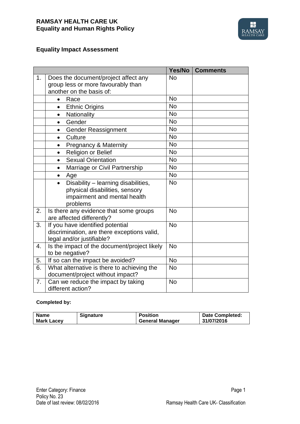

# **Equality Impact Assessment**

|    |                                                                                                                                | Yes/No    | <b>Comments</b> |
|----|--------------------------------------------------------------------------------------------------------------------------------|-----------|-----------------|
| 1. | Does the document/project affect any<br>group less or more favourably than<br>another on the basis of:                         | <b>No</b> |                 |
|    | Race<br>$\bullet$                                                                                                              | <b>No</b> |                 |
|    | <b>Ethnic Origins</b><br>$\bullet$                                                                                             | <b>No</b> |                 |
|    | Nationality<br>$\bullet$                                                                                                       | <b>No</b> |                 |
|    | Gender<br>$\bullet$                                                                                                            | <b>No</b> |                 |
|    | <b>Gender Reassignment</b><br>$\bullet$                                                                                        | <b>No</b> |                 |
|    | Culture<br>$\bullet$                                                                                                           | <b>No</b> |                 |
|    | <b>Pregnancy &amp; Maternity</b><br>$\bullet$                                                                                  | <b>No</b> |                 |
|    | Religion or Belief<br>$\bullet$                                                                                                | <b>No</b> |                 |
|    | <b>Sexual Orientation</b><br>$\bullet$                                                                                         | <b>No</b> |                 |
|    | Marriage or Civil Partnership<br>$\bullet$                                                                                     | <b>No</b> |                 |
|    | Age<br>$\bullet$                                                                                                               | <b>No</b> |                 |
|    | Disability - learning disabilities,<br>$\bullet$<br>physical disabilities, sensory<br>impairment and mental health<br>problems | <b>No</b> |                 |
| 2. | Is there any evidence that some groups<br>are affected differently?                                                            | <b>No</b> |                 |
| 3. | If you have identified potential<br>discrimination, are there exceptions valid,<br>legal and/or justifiable?                   |           |                 |
| 4. | <b>No</b><br>Is the impact of the document/project likely<br>to be negative?                                                   |           |                 |
| 5. | If so can the impact be avoided?                                                                                               | <b>No</b> |                 |
| 6. | What alternative is there to achieving the<br><b>No</b><br>document/project without impact?                                    |           |                 |
| 7. | Can we reduce the impact by taking<br>different action?                                                                        |           |                 |

#### **Completed by:**

| <b>Name</b>       | <b>Signature</b> | <b>Position</b>        | <b>Date Completed:</b> |
|-------------------|------------------|------------------------|------------------------|
| <b>Mark Lacey</b> |                  | <b>General Manager</b> | 31/07/2016             |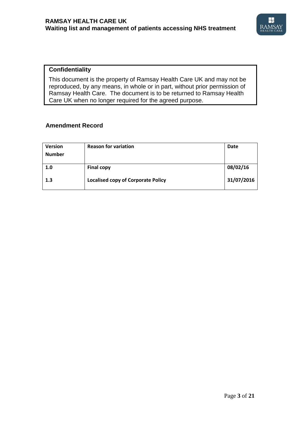

### **Confidentiality**

 This document is the property of Ramsay Health Care UK and may not be reproduced, by any means, in whole or in part, without prior permission of Ramsay Health Care. The document is to be returned to Ramsay Health Care UK when no longer required for the agreed purpose.

#### **Amendment Record**

| <b>Version</b><br><b>Number</b> | <b>Reason for variation</b>               | <b>Date</b> |
|---------------------------------|-------------------------------------------|-------------|
| 1.0                             | <b>Final copy</b>                         | 08/02/16    |
| 1.3                             | <b>Localised copy of Corporate Policy</b> | 31/07/2016  |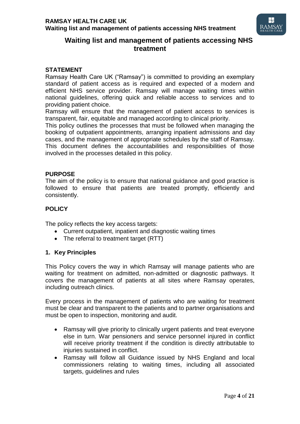

# **Waiting list and management of patients accessing NHS treatment**

#### **STATEMENT**

Ramsay Health Care UK ("Ramsay") is committed to providing an exemplary standard of patient access as is required and expected of a modern and efficient NHS service provider. Ramsay will manage waiting times within national guidelines, offering quick and reliable access to services and to providing patient choice.

Ramsay will ensure that the management of patient access to services is transparent, fair, equitable and managed according to clinical priority.

This policy outlines the processes that must be followed when managing the booking of outpatient appointments, arranging inpatient admissions and day cases, and the management of appropriate schedules by the staff of Ramsay. This document defines the accountabilities and responsibilities of those involved in the processes detailed in this policy.

#### **PURPOSE**

The aim of the policy is to ensure that national guidance and good practice is followed to ensure that patients are treated promptly, efficiently and consistently.

#### **POLICY**

The policy reflects the key access targets:

- Current outpatient, inpatient and diagnostic waiting times
- The referral to treatment target (RTT)

# **1. Key Principles**

This Policy covers the way in which Ramsay will manage patients who are waiting for treatment on admitted, non-admitted or diagnostic pathways. It covers the management of patients at all sites where Ramsay operates, including outreach clinics.

Every process in the management of patients who are waiting for treatment must be clear and transparent to the patients and to partner organisations and must be open to inspection, monitoring and audit.

- Ramsay will give priority to clinically urgent patients and treat everyone else in turn. War pensioners and service personnel injured in conflict will receive priority treatment if the condition is directly attributable to injuries sustained in conflict.
- Ramsay will follow all Guidance issued by NHS England and local commissioners relating to waiting times, including all associated targets, guidelines and rules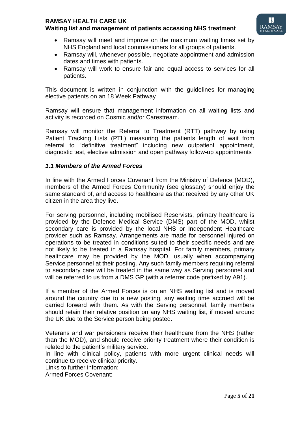# **RAMSAY HEALTH CARE UK**

# **Waiting list and management of patients accessing NHS treatment**



- Ramsay will meet and improve on the maximum waiting times set by NHS England and local commissioners for all groups of patients.
- Ramsay will, whenever possible, negotiate appointment and admission dates and times with patients.
- Ramsay will work to ensure fair and equal access to services for all patients.

This document is written in conjunction with the guidelines for managing elective patients on an 18 Week Pathway

Ramsay will ensure that management information on all waiting lists and activity is recorded on Cosmic and/or Carestream.

Ramsay will monitor the Referral to Treatment (RTT) pathway by using Patient Tracking Lists (PTL) measuring the patients length of wait from referral to "definitive treatment" including new outpatient appointment, diagnostic test, elective admission and open pathway follow-up appointments

# *1.1 Members of the Armed Forces*

In line with the Armed Forces Covenant from the Ministry of Defence (MOD), members of the Armed Forces Community (see glossary) should enjoy the same standard of, and access to healthcare as that received by any other UK citizen in the area they live.

For serving personnel, including mobilised Reservists, primary healthcare is provided by the Defence Medical Service (DMS) part of the MOD, whilst secondary care is provided by the local NHS or Independent Healthcare provider such as Ramsay. Arrangements are made for personnel injured on operations to be treated in conditions suited to their specific needs and are not likely to be treated in a Ramsay hospital. For family members, primary healthcare may be provided by the MOD, usually when accompanying Service personnel at their posting. Any such family members requiring referral to secondary care will be treated in the same way as Serving personnel and will be referred to us from a DMS GP (with a referrer code prefixed by A91).

If a member of the Armed Forces is on an NHS waiting list and is moved around the country due to a new posting, any waiting time accrued will be carried forward with them. As with the Serving personnel, family members should retain their relative position on any NHS waiting list, if moved around the UK due to the Service person being posted.

Veterans and war pensioners receive their healthcare from the NHS (rather than the MOD), and should receive priority treatment where their condition is related to the patient's military service.

In line with clinical policy, patients with more urgent clinical needs will continue to receive clinical priority.

Links to further information:

Armed Forces Covenant: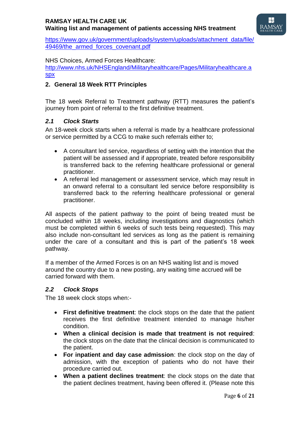

[https://www.gov.uk/government/uploads/system/uploads/attachment\\_data/file/](https://www.gov.uk/government/uploads/system/uploads/attachment_data/file/49469/the_armed_forces_covenant.pdf) [49469/the\\_armed\\_forces\\_covenant.pdf](https://www.gov.uk/government/uploads/system/uploads/attachment_data/file/49469/the_armed_forces_covenant.pdf)

### NHS Choices, Armed Forces Healthcare:

[http://www.nhs.uk/NHSEngland/Militaryhealthcare/Pages/Militaryhealthcare.a](http://www.nhs.uk/NHSEngland/Militaryhealthcare/Pages/Militaryhealthcare.aspx) [spx](http://www.nhs.uk/NHSEngland/Militaryhealthcare/Pages/Militaryhealthcare.aspx)

## **2. General 18 Week RTT Principles**

The 18 week Referral to Treatment pathway (RTT) measures the patient's journey from point of referral to the first definitive treatment.

### *2.1 Clock Starts*

An 18-week clock starts when a referral is made by a healthcare professional or service permitted by a CCG to make such referrals either to;

- A consultant led service, regardless of setting with the intention that the patient will be assessed and if appropriate, treated before responsibility is transferred back to the referring healthcare professional or general practitioner.
- A referral led management or assessment service, which may result in an onward referral to a consultant led service before responsibility is transferred back to the referring healthcare professional or general practitioner.

All aspects of the patient pathway to the point of being treated must be concluded within 18 weeks, including investigations and diagnostics (which must be completed within 6 weeks of such tests being requested). This may also include non-consultant led services as long as the patient is remaining under the care of a consultant and this is part of the patient's 18 week pathway.

If a member of the Armed Forces is on an NHS waiting list and is moved around the country due to a new posting, any waiting time accrued will be carried forward with them.

#### *2.2 Clock Stops*

The 18 week clock stops when:-

- **First definitive treatment**: the clock stops on the date that the patient receives the first definitive treatment intended to manage his/her condition.
- **When a clinical decision is made that treatment is not required**: the clock stops on the date that the clinical decision is communicated to the patient.
- **For inpatient and day case admission**: the clock stop on the day of admission, with the exception of patients who do not have their procedure carried out.
- **When a patient declines treatment**: the clock stops on the date that the patient declines treatment, having been offered it. (Please note this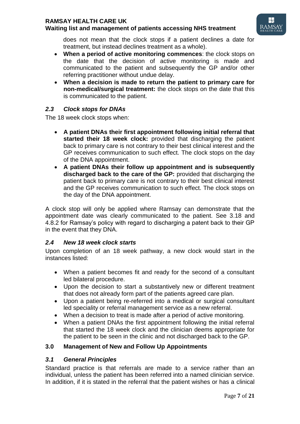# **RAMSAY HEALTH CARE UK**

# **Waiting list and management of patients accessing NHS treatment**



does not mean that the clock stops if a patient declines a date for treatment, but instead declines treatment as a whole).

- **When a period of active monitoring commences**: the clock stops on the date that the decision of active monitoring is made and communicated to the patient and subsequently the GP and/or other referring practitioner without undue delay.
- **When a decision is made to return the patient to primary care for non-medical/surgical treatment:** the clock stops on the date that this is communicated to the patient.

# *2.3 Clock stops for DNAs*

The 18 week clock stops when:

- **A patient DNAs their first appointment following initial referral that started their 18 week clock:** provided that discharging the patient back to primary care is not contrary to their best clinical interest and the GP receives communication to such effect. The clock stops on the day of the DNA appointment.
- **A patient DNAs their follow up appointment and is subsequently discharged back to the care of the GP:** provided that discharging the patient back to primary care is not contrary to their best clinical interest and the GP receives communication to such effect. The clock stops on the day of the DNA appointment.

A clock stop will only be applied where Ramsay can demonstrate that the appointment date was clearly communicated to the patient. See 3.18 and 4.8.2 for Ramsay's policy with regard to discharging a patent back to their GP in the event that they DNA.

# *2.4 New 18 week clock starts*

Upon completion of an 18 week pathway, a new clock would start in the instances listed:

- When a patient becomes fit and ready for the second of a consultant led bilateral procedure.
- Upon the decision to start a substantively new or different treatment that does not already form part of the patients agreed care plan.
- Upon a patient being re-referred into a medical or surgical consultant led speciality or referral management service as a new referral.
- When a decision to treat is made after a period of active monitoring.
- When a patient DNAs the first appointment following the initial referral that started the 18 week clock and the clinician deems appropriate for the patient to be seen in the clinic and not discharged back to the GP.

# **3.0 Management of New and Follow Up Appointments**

# *3.1 General Principles*

Standard practice is that referrals are made to a service rather than an individual, unless the patient has been referred into a named clinician service. In addition, if it is stated in the referral that the patient wishes or has a clinical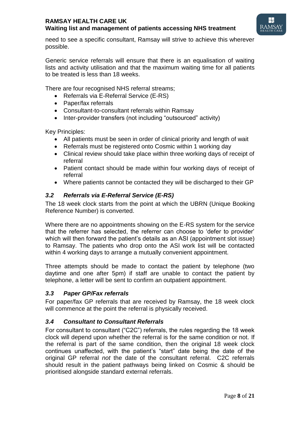

need to see a specific consultant, Ramsay will strive to achieve this wherever possible.

Generic service referrals will ensure that there is an equalisation of waiting lists and activity utilisation and that the maximum waiting time for all patients to be treated is less than 18 weeks.

There are four recognised NHS referral streams;

- Referrals via E-Referral Service (E-RS)
- Paper/fax referrals
- Consultant-to-consultant referrals within Ramsay
- Inter-provider transfers (not including "outsourced" activity)

Key Principles:

- All patients must be seen in order of clinical priority and length of wait
- Referrals must be registered onto Cosmic within 1 working day
- Clinical review should take place within three working days of receipt of referral
- Patient contact should be made within four working days of receipt of referral
- Where patients cannot be contacted they will be discharged to their GP

# *3.2 Referrals via E-Referral Service (E-RS)*

The 18 week clock starts from the point at which the UBRN (Unique Booking Reference Number) is converted.

Where there are no appointments showing on the E-RS system for the service that the referrer has selected, the referrer can choose to 'defer to provider' which will then forward the patient's details as an ASI (appointment slot issue) to Ramsay. The patients who drop onto the ASI work list will be contacted within 4 working days to arrange a mutually convenient appointment.

Three attempts should be made to contact the patient by telephone (two daytime and one after 5pm) if staff are unable to contact the patient by telephone, a letter will be sent to confirm an outpatient appointment.

# *3.3 Paper GP/Fax referrals*

For paper/fax GP referrals that are received by Ramsay, the 18 week clock will commence at the point the referral is physically received.

# *3.4 Consultant to Consultant Referrals*

For consultant to consultant ("C2C") referrals, the rules regarding the 18 week clock will depend upon whether the referral is for the same condition or not. If the referral is part of the same condition, then the original 18 week clock continues unaffected, with the patient's "start" date being the date of the original GP referral *not* the date of the consultant referral. C2C referrals should result in the patient pathways being linked on Cosmic & should be prioritised alongside standard external referrals.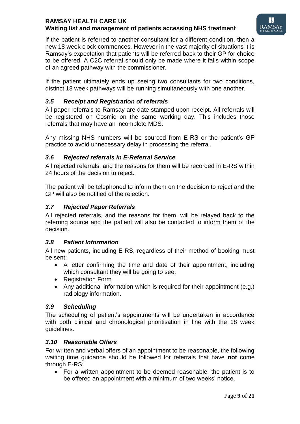

If the patient is referred to another consultant for a different condition, then a new 18 week clock commences. However in the vast majority of situations it is Ramsay's expectation that patients will be referred back to their GP for choice to be offered. A C2C referral should only be made where it falls within scope of an agreed pathway with the commissioner.

If the patient ultimately ends up seeing two consultants for two conditions, distinct 18 week pathways will be running simultaneously with one another.

# *3.5 Receipt and Registration of referrals*

All paper referrals to Ramsay are date stamped upon receipt. All referrals will be registered on Cosmic on the same working day. This includes those referrals that may have an incomplete MDS.

Any missing NHS numbers will be sourced from E-RS or the patient's GP practice to avoid unnecessary delay in processing the referral.

# *3.6 Rejected referrals in E-Referral Service*

All rejected referrals, and the reasons for them will be recorded in E-RS within 24 hours of the decision to reject.

The patient will be telephoned to inform them on the decision to reject and the GP will also be notified of the rejection.

# *3.7 Rejected Paper Referrals*

All rejected referrals, and the reasons for them, will be relayed back to the referring source and the patient will also be contacted to inform them of the decision.

# *3.8 Patient Information*

All new patients, including E-RS, regardless of their method of booking must be sent:

- A letter confirming the time and date of their appointment, including which consultant they will be going to see.
- Registration Form
- Any additional information which is required for their appointment (e.g.) radiology information.

# *3.9 Scheduling*

The scheduling of patient's appointments will be undertaken in accordance with both clinical and chronological prioritisation in line with the 18 week guidelines.

# *3.10 Reasonable Offers*

For written and verbal offers of an appointment to be reasonable, the following waiting time guidance should be followed for referrals that have **not** come through E-RS;

 For a written appointment to be deemed reasonable, the patient is to be offered an appointment with a minimum of two weeks' notice.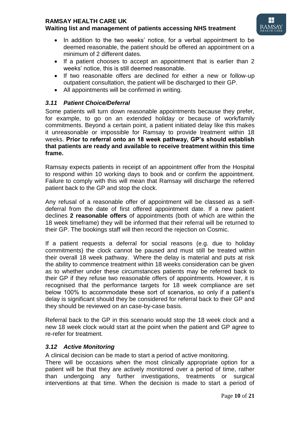# **RAMSAY HEALTH CARE UK**

# **Waiting list and management of patients accessing NHS treatment**



- In addition to the two weeks' notice, for a verbal appointment to be deemed reasonable, the patient should be offered an appointment on a minimum of 2 different dates.
- If a patient chooses to accept an appointment that is earlier than 2 weeks' notice, this is still deemed reasonable.
- If two reasonable offers are declined for either a new or follow-up outpatient consultation, the patient will be discharged to their GP.
- All appointments will be confirmed in writing.

# *3.11 Patient Choice/Deferral*

Some patients will turn down reasonable appointments because they prefer, for example, to go on an extended holiday or because of work/family commitments. Beyond a certain point, a patient initiated delay like this makes it unreasonable or impossible for Ramsay to provide treatment within 18 weeks. **Prior to referral onto an 18 week pathway, GP's should establish that patients are ready and available to receive treatment within this time frame.** 

Ramsay expects patients in receipt of an appointment offer from the Hospital to respond within 10 working days to book and or confirm the appointment. Failure to comply with this will mean that Ramsay will discharge the referred patient back to the GP and stop the clock.

Any refusal of a reasonable offer of appointment will be classed as a selfdeferral from the date of first offered appointment date. If a new patient declines **2 reasonable offers** of appointments (both of which are within the 18 week timeframe) they will be informed that their referral will be returned to their GP. The bookings staff will then record the rejection on Cosmic.

If a patient requests a deferral for social reasons (e.g. due to holiday commitments) the clock cannot be paused and must still be treated within their overall 18 week pathway. Where the delay is material and puts at risk the ability to commence treatment within 18 weeks consideration can be given as to whether under these circumstances patients may be referred back to their GP if they refuse two reasonable offers of appointments. However, it is recognised that the performance targets for 18 week compliance are set below 100% to accommodate these sort of scenarios, so only if a patient's delay is significant should they be considered for referral back to their GP and they should be reviewed on an case-by-case basis.

Referral back to the GP in this scenario would stop the 18 week clock and a new 18 week clock would start at the point when the patient and GP agree to re-refer for treatment.

# *3.12 Active Monitoring*

A clinical decision can be made to start a period of active monitoring.

There will be occasions when the most clinically appropriate option for a patient will be that they are actively monitored over a period of time, rather than undergoing any further investigations, treatments or surgical interventions at that time. When the decision is made to start a period of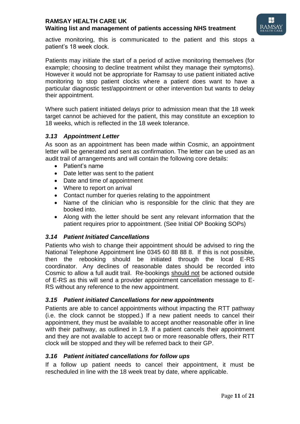

active monitoring, this is communicated to the patient and this stops a patient's 18 week clock.

Patients may initiate the start of a period of active monitoring themselves (for example; choosing to decline treatment whilst they manage their symptoms). However it would not be appropriate for Ramsay to use patient initiated active monitoring to stop patient clocks where a patient does want to have a particular diagnostic test/appointment or other intervention but wants to delay their appointment.

Where such patient initiated delays prior to admission mean that the 18 week target cannot be achieved for the patient, this may constitute an exception to 18 weeks, which is reflected in the 18 week tolerance.

### *3.13 Appointment Letter*

As soon as an appointment has been made within Cosmic, an appointment letter will be generated and sent as confirmation. The letter can be used as an audit trail of arrangements and will contain the following core details:

- Patient's name
- Date letter was sent to the patient
- Date and time of appointment
- Where to report on arrival
- Contact number for queries relating to the appointment
- Name of the clinician who is responsible for the clinic that they are booked into.
- Along with the letter should be sent any relevant information that the patient requires prior to appointment. (See Initial OP Booking SOPs)

# *3.14 Patient Initiated Cancellations*

Patients who wish to change their appointment should be advised to ring the National Telephone Appointment line 0345 60 88 88 8. If this is not possible, then the rebooking should be initiated through the local E-RS coordinator. Any declines of reasonable dates should be recorded into Cosmic to allow a full audit trail. Re-bookings should not be actioned outside of E-RS as this will send a provider appointment cancellation message to E-RS without any reference to the new appointment.

#### *3.15 Patient initiated Cancellations for new appointments*

Patients are able to cancel appointments without impacting the RTT pathway (i.e. the clock cannot be stopped.) If a new patient needs to cancel their appointment, they must be available to accept another reasonable offer in line with their pathway, as outlined in 1.9. If a patient cancels their appointment and they are not available to accept two or more reasonable offers, their RTT clock will be stopped and they will be referred back to their GP.

#### *3.16 Patient initiated cancellations for follow ups*

If a follow up patient needs to cancel their appointment, it must be rescheduled in line with the 18 week treat by date, where applicable.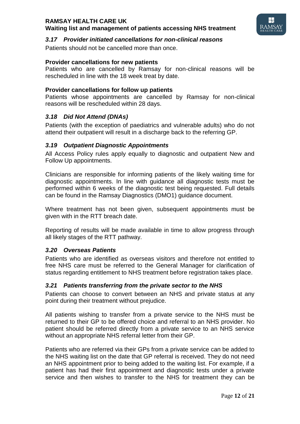

## *3.17 Provider initiated cancellations for non-clinical reasons*

Patients should not be cancelled more than once.

#### **Provider cancellations for new patients**

Patients who are cancelled by Ramsay for non-clinical reasons will be rescheduled in line with the 18 week treat by date.

#### **Provider cancellations for follow up patients**

Patients whose appointments are cancelled by Ramsay for non-clinical reasons will be rescheduled within 28 days.

### *3.18 Did Not Attend (DNAs)*

Patients (with the exception of paediatrics and vulnerable adults) who do not attend their outpatient will result in a discharge back to the referring GP.

### *3.19 Outpatient Diagnostic Appointments*

All Access Policy rules apply equally to diagnostic and outpatient New and Follow Up appointments.

Clinicians are responsible for informing patients of the likely waiting time for diagnostic appointments. In line with guidance all diagnostic tests must be performed within 6 weeks of the diagnostic test being requested. Full details can be found in the Ramsay Diagnostics (DMO1) guidance document.

Where treatment has not been given, subsequent appointments must be given with in the RTT breach date.

Reporting of results will be made available in time to allow progress through all likely stages of the RTT pathway.

#### *3.20 Overseas Patients*

Patients who are identified as overseas visitors and therefore not entitled to free NHS care must be referred to the General Manager for clarification of status regarding entitlement to NHS treatment before registration takes place.

#### *3.21 Patients transferring from the private sector to the NHS*

Patients can choose to convert between an NHS and private status at any point during their treatment without prejudice.

All patients wishing to transfer from a private service to the NHS must be returned to their GP to be offered choice and referral to an NHS provider. No patient should be referred directly from a private service to an NHS service without an appropriate NHS referral letter from their GP.

Patients who are referred via their GPs from a private service can be added to the NHS waiting list on the date that GP referral is received. They do not need an NHS appointment prior to being added to the waiting list. For example, if a patient has had their first appointment and diagnostic tests under a private service and then wishes to transfer to the NHS for treatment they can be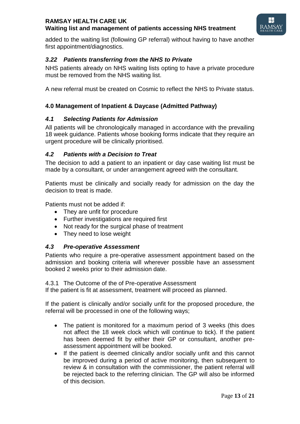

added to the waiting list (following GP referral) without having to have another first appointment/diagnostics.

# *3.22 Patients transferring from the NHS to Private*

NHS patients already on NHS waiting lists opting to have a private procedure must be removed from the NHS waiting list.

A new referral must be created on Cosmic to reflect the NHS to Private status.

# **4.0 Management of Inpatient & Daycase (Admitted Pathway)**

### *4.1 Selecting Patients for Admission*

All patients will be chronologically managed in accordance with the prevailing 18 week guidance. Patients whose booking forms indicate that they require an urgent procedure will be clinically prioritised.

### *4.2 Patients with a Decision to Treat*

The decision to add a patient to an inpatient or day case waiting list must be made by a consultant, or under arrangement agreed with the consultant.

Patients must be clinically and socially ready for admission on the day the decision to treat is made.

Patients must not be added if:

- They are unfit for procedure
- Further investigations are required first
- Not ready for the surgical phase of treatment
- They need to lose weight

#### *4.3 Pre-operative Assessment*

Patients who require a pre-operative assessment appointment based on the admission and booking criteria will wherever possible have an assessment booked 2 weeks prior to their admission date.

4.3.1 The Outcome of the of Pre-operative Assessment

If the patient is fit at assessment, treatment will proceed as planned.

If the patient is clinically and/or socially unfit for the proposed procedure, the referral will be processed in one of the following ways;

- The patient is monitored for a maximum period of 3 weeks (this does not affect the 18 week clock which will continue to tick). If the patient has been deemed fit by either their GP or consultant, another preassessment appointment will be booked.
- If the patient is deemed clinically and/or socially unfit and this cannot be improved during a period of active monitoring, then subsequent to review & in consultation with the commissioner, the patient referral will be rejected back to the referring clinician. The GP will also be informed of this decision.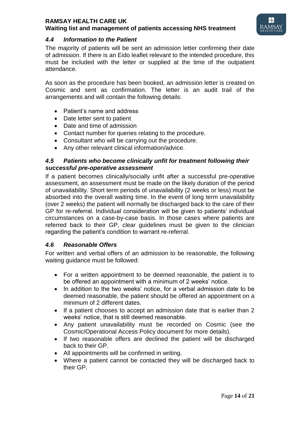

## *4.4 Information to the Patient*

The majority of patients will be sent an admission letter confirming their date of admission. If there is an Eido leaflet relevant to the intended procedure, this must be included with the letter or supplied at the time of the outpatient attendance.

As soon as the procedure has been booked, an admission letter is created on Cosmic and sent as confirmation. The letter is an audit trail of the arrangements and will contain the following details:

- Patient's name and address
- Date letter sent to patient
- Date and time of admission
- Contact number for queries relating to the procedure.
- Consultant who will be carrying out the procedure.
- Any other relevant clinical information/advice.

#### *4.5 Patients who become clinically unfit for treatment following their successful pre-operative assessment*

If a patient becomes clinically/socially unfit after a successful pre-operative assessment, an assessment must be made on the likely duration of the period of unavailability. Short term periods of unavailability (2 weeks or less) must be absorbed into the overall waiting time. In the event of long term unavailability (over 2 weeks) the patient will normally be discharged back to the care of their GP for re-referral. Individual consideration will be given to patients' individual circumstances on a case-by-case basis. In those cases where patients are referred back to their GP, clear guidelines must be given to the clinician regarding the patient's condition to warrant re-referral.

#### *4.6 Reasonable Offers*

For written and verbal offers of an admission to be reasonable, the following waiting guidance must be followed:

- For a written appointment to be deemed reasonable, the patient is to be offered an appointment with a minimum of 2 weeks' notice.
- In addition to the two weeks' notice, for a verbal admission date to be deemed reasonable, the patient should be offered an appointment on a minimum of 2 different dates.
- If a patient chooses to accept an admission date that is earlier than 2 weeks' notice, that is still deemed reasonable.
- Any patient unavailability must be recorded on Cosmic (see the Cosmic/Operational Access Policy document for more details).
- If two reasonable offers are declined the patient will be discharged back to their GP.
- All appointments will be confirmed in writing.
- Where a patient cannot be contacted they will be discharged back to their GP.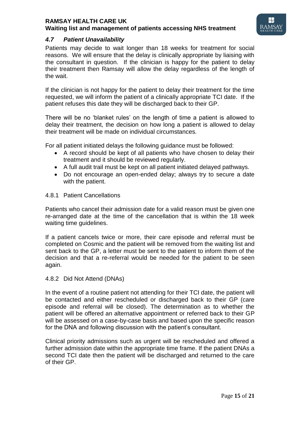

## *4.7 Patient Unavailability*

Patients may decide to wait longer than 18 weeks for treatment for social reasons. We will ensure that the delay is clinically appropriate by liaising with the consultant in question. If the clinician is happy for the patient to delay their treatment then Ramsay will allow the delay regardless of the length of the wait.

If the clinician is not happy for the patient to delay their treatment for the time requested, we will inform the patient of a clinically appropriate TCI date. If the patient refuses this date they will be discharged back to their GP.

There will be no 'blanket rules' on the length of time a patient is allowed to delay their treatment, the decision on how long a patient is allowed to delay their treatment will be made on individual circumstances.

For all patient initiated delays the following guidance must be followed:

- A record should be kept of all patients who have chosen to delay their treatment and it should be reviewed regularly.
- A full audit trail must be kept on all patient initiated delayed pathways.
- Do not encourage an open-ended delay; always try to secure a date with the patient.

#### 4.8.1 Patient Cancellations

Patients who cancel their admission date for a valid reason must be given one re-arranged date at the time of the cancellation that is within the 18 week waiting time guidelines.

If a patient cancels twice or more, their care episode and referral must be completed on Cosmic and the patient will be removed from the waiting list and sent back to the GP, a letter must be sent to the patient to inform them of the decision and that a re-referral would be needed for the patient to be seen again.

#### 4.8.2 Did Not Attend (DNAs)

In the event of a routine patient not attending for their TCI date, the patient will be contacted and either rescheduled or discharged back to their GP (care episode and referral will be closed). The determination as to whether the patient will be offered an alternative appointment or referred back to their GP will be assessed on a case-by-case basis and based upon the specific reason for the DNA and following discussion with the patient's consultant.

Clinical priority admissions such as urgent will be rescheduled and offered a further admission date within the appropriate time frame. If the patient DNAs a second TCI date then the patient will be discharged and returned to the care of their GP.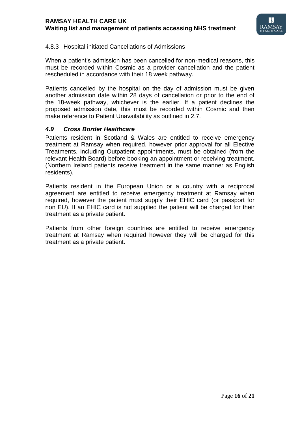

### 4.8.3 Hospital initiated Cancellations of Admissions

When a patient's admission has been cancelled for non-medical reasons, this must be recorded within Cosmic as a provider cancellation and the patient rescheduled in accordance with their 18 week pathway.

Patients cancelled by the hospital on the day of admission must be given another admission date within 28 days of cancellation or prior to the end of the 18-week pathway, whichever is the earlier. If a patient declines the proposed admission date, this must be recorded within Cosmic and then make reference to Patient Unavailability as outlined in 2.7.

### *4.9 Cross Border Healthcare*

Patients resident in Scotland & Wales are entitled to receive emergency treatment at Ramsay when required, however prior approval for all Elective Treatments, including Outpatient appointments, must be obtained (from the relevant Health Board) before booking an appointment or receiving treatment. (Northern Ireland patients receive treatment in the same manner as English residents).

Patients resident in the European Union or a country with a reciprocal agreement are entitled to receive emergency treatment at Ramsay when required, however the patient must supply their EHIC card (or passport for non EU). If an EHIC card is not supplied the patient will be charged for their treatment as a private patient.

Patients from other foreign countries are entitled to receive emergency treatment at Ramsay when required however they will be charged for this treatment as a private patient.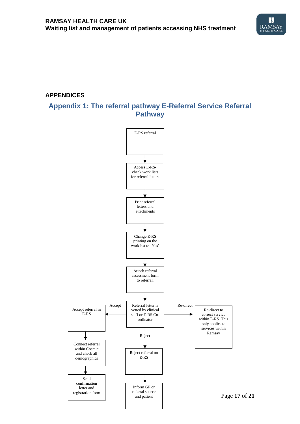

# **APPENDICES**

# **Appendix 1: The referral pathway E-Referral Service Referral Pathway**

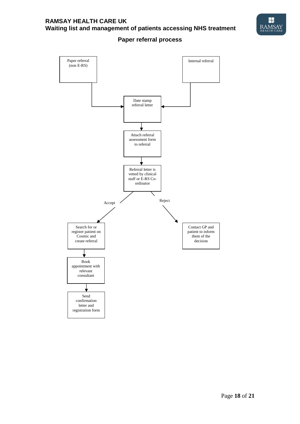

**Paper referral process**

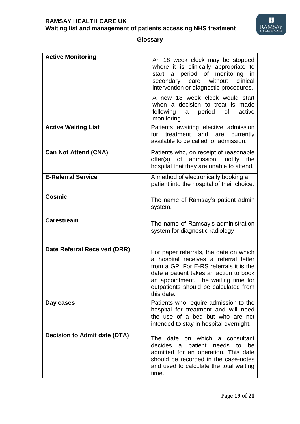

# **Glossary**

| <b>Active Monitoring</b>            | An 18 week clock may be stopped<br>where it is clinically appropriate to<br>start a period of monitoring in<br>secondary care without<br>clinical<br>intervention or diagnostic procedures.<br>A new 18 week clock would start<br>when a decision to treat is made<br>following<br>a period of<br>active<br>monitoring. |
|-------------------------------------|-------------------------------------------------------------------------------------------------------------------------------------------------------------------------------------------------------------------------------------------------------------------------------------------------------------------------|
| <b>Active Waiting List</b>          | Patients awaiting elective admission<br>for treatment and are currently<br>available to be called for admission.                                                                                                                                                                                                        |
| <b>Can Not Attend (CNA)</b>         | Patients who, on receipt of reasonable<br>offer(s) of admission, notify the<br>hospital that they are unable to attend.                                                                                                                                                                                                 |
| <b>E-Referral Service</b>           | A method of electronically booking a<br>patient into the hospital of their choice.                                                                                                                                                                                                                                      |
| <b>Cosmic</b>                       | The name of Ramsay's patient admin<br>system.                                                                                                                                                                                                                                                                           |
| <b>Carestream</b>                   | The name of Ramsay's administration<br>system for diagnostic radiology                                                                                                                                                                                                                                                  |
| Date Referral Received (DRR)        | For paper referrals, the date on which<br>a hospital receives a referral letter<br>from a GP. For E-RS referrals it is the<br>date a patient takes an action to book<br>an appointment. The waiting time for<br>outpatients should be calculated from<br>this date.                                                     |
| Day cases                           | Patients who require admission to the<br>hospital for treatment and will need<br>the use of a bed but who are not<br>intended to stay in hospital overnight.                                                                                                                                                            |
| <b>Decision to Admit date (DTA)</b> | The date on which<br>a consultant<br>decides a patient needs<br>be<br>to<br>admitted for an operation. This date<br>should be recorded in the case-notes<br>and used to calculate the total waiting<br>time.                                                                                                            |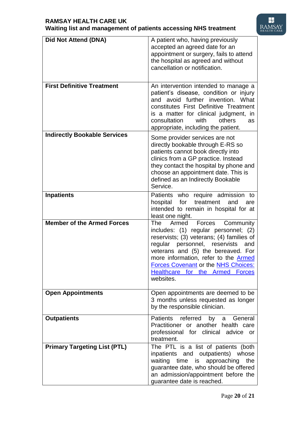

| Did Not Attend (DNA)                | A patient who, having previously<br>accepted an agreed date for an<br>appointment or surgery, fails to attend<br>the hospital as agreed and without<br>cancellation or notification.                                                                                                                                                                              |
|-------------------------------------|-------------------------------------------------------------------------------------------------------------------------------------------------------------------------------------------------------------------------------------------------------------------------------------------------------------------------------------------------------------------|
| <b>First Definitive Treatment</b>   | An intervention intended to manage a<br>patient's disease, condition or injury<br>and avoid further invention. What<br>constitutes First Definitive Treatment<br>is a matter for clinical judgment, in<br>consultation<br>others<br>with<br>as<br>appropriate, including the patient.                                                                             |
| <b>Indirectly Bookable Services</b> | Some provider services are not<br>directly bookable through E-RS so<br>patients cannot book directly into<br>clinics from a GP practice. Instead<br>they contact the hospital by phone and<br>choose an appointment date. This is<br>defined as an Indirectly Bookable<br>Service.                                                                                |
| <b>Inpatients</b>                   | Patients who require admission to<br>hospital for<br>treatment<br>and<br>are<br>intended to remain in hospital for at<br>least one night.                                                                                                                                                                                                                         |
| <b>Member of the Armed Forces</b>   | <b>The</b><br>Armed Forces<br>Community<br>includes: (1) regular personnel; (2)<br>reservists; (3) veterans; (4) families of<br>regular personnel, reservists<br>and<br>veterans and (5) the bereaved. For<br>more information, refer to the <b>Armed</b><br><b>Forces Covenant or the NHS Choices:</b><br>Healthcare for the Armed<br><b>Forces</b><br>websites. |
| <b>Open Appointments</b>            | Open appointments are deemed to be<br>3 months unless requested as longer<br>by the responsible clinician.                                                                                                                                                                                                                                                        |
| <b>Outpatients</b>                  | Patients referred<br>by a<br>General<br>Practitioner or another health care<br>professional for clinical advice<br>or<br>treatment.                                                                                                                                                                                                                               |
| <b>Primary Targeting List (PTL)</b> | The PTL is a list of patients (both<br>inpatients and outpatients) whose<br>waiting time is approaching<br>the<br>guarantee date, who should be offered<br>an admission/appointment before the<br>guarantee date is reached.                                                                                                                                      |